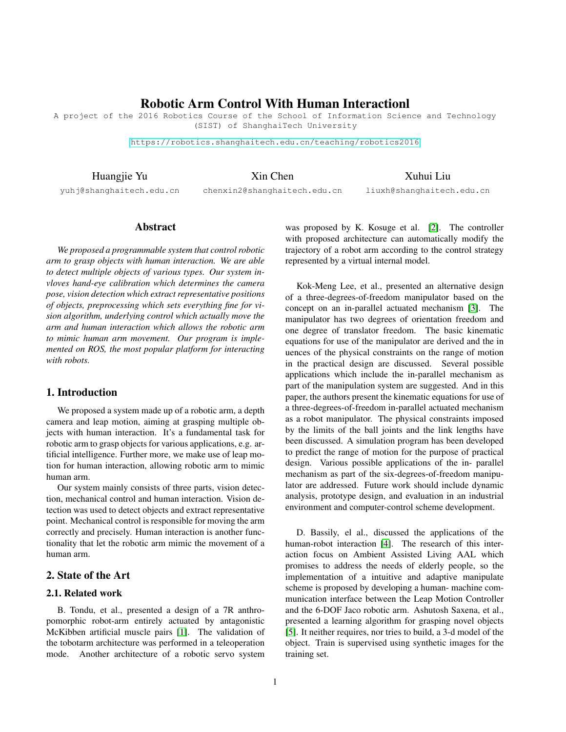# Robotic Arm Control With Human Interactionl

A project of the 2016 Robotics Course of the School of Information Science and Technology (SIST) of ShanghaiTech University

<https://robotics.shanghaitech.edu.cn/teaching/robotics2016>

Huangjie Yu

Xin Chen

Xuhui Liu

yuhj@shanghaitech.edu.cn

chenxin2@shanghaitech.edu.cn

liuxh@shanghaitech.edu.cn

## Abstract

*We proposed a programmable system that control robotic arm to grasp objects with human interaction. We are able to detect multiple objects of various types. Our system invloves hand-eye calibration which determines the camera pose, vision detection which extract representative positions of objects, preprocessing which sets everything fine for vision algorithm, underlying control which actually move the arm and human interaction which allows the robotic arm to mimic human arm movement. Our program is implemented on ROS, the most popular platform for interacting with robots.*

## 1. Introduction

We proposed a system made up of a robotic arm, a depth camera and leap motion, aiming at grasping multiple objects with human interaction. It's a fundamental task for robotic arm to grasp objects for various applications, e.g. artificial intelligence. Further more, we make use of leap motion for human interaction, allowing robotic arm to mimic human arm.

Our system mainly consists of three parts, vision detection, mechanical control and human interaction. Vision detection was used to detect objects and extract representative point. Mechanical control is responsible for moving the arm correctly and precisely. Human interaction is another functionality that let the robotic arm mimic the movement of a human arm.

# 2. State of the Art

## 2.1. Related work

B. Tondu, et al., presented a design of a 7R anthropomorphic robot-arm entirely actuated by antagonistic McKibben artificial muscle pairs [\[1\]](#page-4-0). The validation of the tobotarm architecture was performed in a teleoperation mode. Another architecture of a robotic servo system

was proposed by K. Kosuge et al. [\[2\]](#page-4-1). The controller with proposed architecture can automatically modify the trajectory of a robot arm according to the control strategy represented by a virtual internal model.

Kok-Meng Lee, et al., presented an alternative design of a three-degrees-of-freedom manipulator based on the concept on an in-parallel actuated mechanism [\[3\]](#page-4-2). The manipulator has two degrees of orientation freedom and one degree of translator freedom. The basic kinematic equations for use of the manipulator are derived and the in uences of the physical constraints on the range of motion in the practical design are discussed. Several possible applications which include the in-parallel mechanism as part of the manipulation system are suggested. And in this paper, the authors present the kinematic equations for use of a three-degrees-of-freedom in-parallel actuated mechanism as a robot manipulator. The physical constraints imposed by the limits of the ball joints and the link lengths have been discussed. A simulation program has been developed to predict the range of motion for the purpose of practical design. Various possible applications of the in- parallel mechanism as part of the six-degrees-of-freedom manipulator are addressed. Future work should include dynamic analysis, prototype design, and evaluation in an industrial environment and computer-control scheme development.

D. Bassily, el al., discussed the applications of the human-robot interaction [\[4\]](#page-4-3). The research of this interaction focus on Ambient Assisted Living AAL which promises to address the needs of elderly people, so the implementation of a intuitive and adaptive manipulate scheme is proposed by developing a human- machine communication interface between the Leap Motion Controller and the 6-DOF Jaco robotic arm. Ashutosh Saxena, et al., presented a learning algorithm for grasping novel objects [\[5\]](#page-4-4). It neither requires, nor tries to build, a 3-d model of the object. Train is supervised using synthetic images for the training set.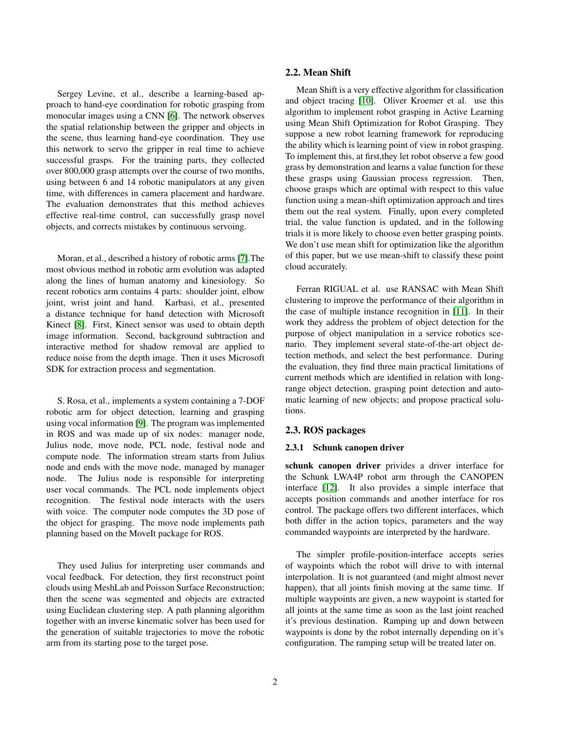Sergey Levine, et al., describe a learning-based approach to hand-eye coordination for robotic grasping from monocular images using a CNN [\[6\]](#page-4-5). The network observes the spatial relationship between the gripper and objects in the scene, thus learning hand-eye coordination. They use this network to servo the gripper in real time to achieve successful grasps. For the training parts, they collected over 800,000 grasp attempts over the course of two months, using between 6 and 14 robotic manipulators at any given time, with differences in camera placement and hardware. The evaluation demonstrates that this method achieves effective real-time control, can successfully grasp novel objects, and corrects mistakes by continuous servoing.

Moran, et al., described a history of robotic arms [\[7\]](#page-4-6).The most obvious method in robotic arm evolution was adapted along the lines of human anatomy and kinesiology. So recent robotics arm contains 4 parts: shoulder joint, elbow joint, wrist joint and hand. Karbasi, et al., presented a distance technique for hand detection with Microsoft Kinect [\[8\]](#page-4-7). First, Kinect sensor was used to obtain depth image information. Second, background subtraction and interactive method for shadow removal are applied to reduce noise from the depth image. Then it uses Microsoft SDK for extraction process and segmentation.

S. Rosa, et al., implements a system containing a 7-DOF robotic arm for object detection, learning and grasping using vocal information [\[9\]](#page-4-8). The program was implemented in ROS and was made up of six nodes: manager node, Julius node, move node, PCL node, festival node and compute node. The information stream starts from Julius node and ends with the move node, managed by manager node. The Julius node is responsible for interpreting user vocal commands. The PCL node implements object recognition. The festival node interacts with the users with voice. The computer node computes the 3D pose of the object for grasping. The move node implements path planning based on the MoveIt package for ROS.

They used Julius for interpreting user commands and vocal feedback. For detection, they first reconstruct point clouds using MeshLab and Poisson Surface Reconstruction; then the scene was segmented and objects are extracted using Euclidean clustering step. A path planning algorithm together with an inverse kinematic solver has been used for the generation of suitable trajectories to move the robotic arm from its starting pose to the target pose.

#### 2.2. Mean Shift

Mean Shift is a very effective algorithm for classification and object tracing [\[10\]](#page-4-9). Oliver Kroemer et al. use this algorithm to implement robot grasping in Active Learning using Mean Shift Optimization for Robot Grasping. They suppose a new robot learning framework for reproducing the ability which is learning point of view in robot grasping. To implement this, at first,they let robot observe a few good grass by demonstration and learns a value function for these these grasps using Gaussian process regression. Then, choose grasps which are optimal with respect to this value function using a mean-shift optimization approach and tires them out the real system. Finally, upon every completed trial, the value function is updated, and in the following trials it is more likely to choose even better grasping points. We don't use mean shift for optimization like the algorithm of this paper, but we use mean-shift to classify these point cloud accurately.

Ferran RIGUAL et al. use RANSAC with Mean Shift clustering to improve the performance of their algorithm in the case of multiple instance recognition in [\[11\]](#page-4-10). In their work they address the problem of object detection for the purpose of object manipulation in a service robotics scenario. They implement several state-of-the-art object detection methods, and select the best performance. During the evaluation, they find three main practical limitations of current methods which are identified in relation with longrange object detection, grasping point detection and automatic learning of new objects; and propose practical solutions.

### 2.3. ROS packages

### 2.3.1 Schunk canopen driver

schunk canopen driver privides a driver interface for the Schunk LWA4P robot arm through the CANOPEN interface [\[12\]](#page-4-11). It also provides a simple interface that accepts position commands and another interface for ros control. The package offers two different interfaces, which both differ in the action topics, parameters and the way commanded waypoints are interpreted by the hardware.

The simpler profile-position-interface accepts series of waypoints which the robot will drive to with internal interpolation. It is not guaranteed (and might almost never happen), that all joints finish moving at the same time. If multiple waypoints are given, a new waypoint is started for all joints at the same time as soon as the last joint reached it's previous destination. Ramping up and down between waypoints is done by the robot internally depending on it's configuration. The ramping setup will be treated later on.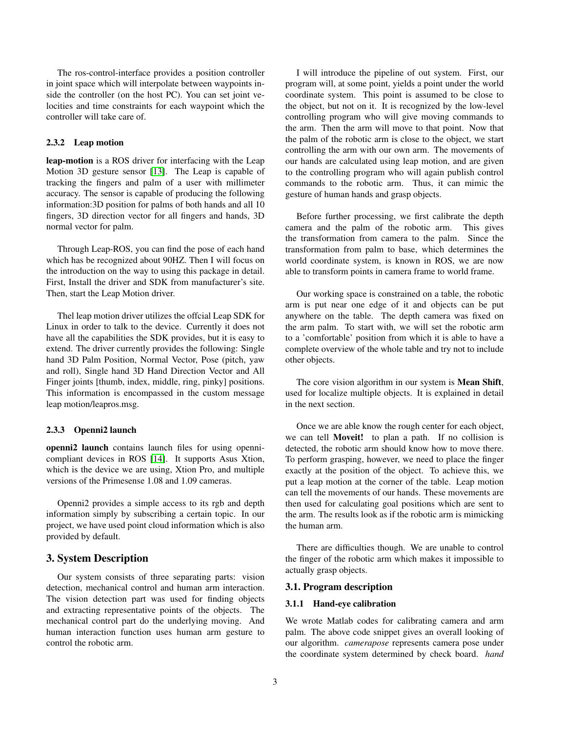The ros-control-interface provides a position controller in joint space which will interpolate between waypoints inside the controller (on the host PC). You can set joint velocities and time constraints for each waypoint which the controller will take care of.

## 2.3.2 Leap motion

leap-motion is a ROS driver for interfacing with the Leap Motion 3D gesture sensor [\[13\]](#page-4-12). The Leap is capable of tracking the fingers and palm of a user with millimeter accuracy. The sensor is capable of producing the following information:3D position for palms of both hands and all 10 fingers, 3D direction vector for all fingers and hands, 3D normal vector for palm.

Through Leap-ROS, you can find the pose of each hand which has be recognized about 90HZ. Then I will focus on the introduction on the way to using this package in detail. First, Install the driver and SDK from manufacturer's site. Then, start the Leap Motion driver.

Thel leap motion driver utilizes the offcial Leap SDK for Linux in order to talk to the device. Currently it does not have all the capabilities the SDK provides, but it is easy to extend. The driver currently provides the following: Single hand 3D Palm Position, Normal Vector, Pose (pitch, yaw and roll), Single hand 3D Hand Direction Vector and All Finger joints [thumb, index, middle, ring, pinky] positions. This information is encompassed in the custom message leap motion/leapros.msg.

### 2.3.3 Openni2 launch

openni2 launch contains launch files for using opennicompliant devices in ROS [\[14\]](#page-4-13). It supports Asus Xtion, which is the device we are using, Xtion Pro, and multiple versions of the Primesense 1.08 and 1.09 cameras.

Openni2 provides a simple access to its rgb and depth information simply by subscribing a certain topic. In our project, we have used point cloud information which is also provided by default.

## 3. System Description

Our system consists of three separating parts: vision detection, mechanical control and human arm interaction. The vision detection part was used for finding objects and extracting representative points of the objects. The mechanical control part do the underlying moving. And human interaction function uses human arm gesture to control the robotic arm.

I will introduce the pipeline of out system. First, our program will, at some point, yields a point under the world coordinate system. This point is assumed to be close to the object, but not on it. It is recognized by the low-level controlling program who will give moving commands to the arm. Then the arm will move to that point. Now that the palm of the robotic arm is close to the object, we start controlling the arm with our own arm. The movements of our hands are calculated using leap motion, and are given to the controlling program who will again publish control commands to the robotic arm. Thus, it can mimic the gesture of human hands and grasp objects.

Before further processing, we first calibrate the depth camera and the palm of the robotic arm. This gives the transformation from camera to the palm. Since the transformation from palm to base, which determines the world coordinate system, is known in ROS, we are now able to transform points in camera frame to world frame.

Our working space is constrained on a table, the robotic arm is put near one edge of it and objects can be put anywhere on the table. The depth camera was fixed on the arm palm. To start with, we will set the robotic arm to a 'comfortable' position from which it is able to have a complete overview of the whole table and try not to include other objects.

The core vision algorithm in our system is **Mean Shift**, used for localize multiple objects. It is explained in detail in the next section.

Once we are able know the rough center for each object, we can tell Moveit! to plan a path. If no collision is detected, the robotic arm should know how to move there. To perform grasping, however, we need to place the finger exactly at the position of the object. To achieve this, we put a leap motion at the corner of the table. Leap motion can tell the movements of our hands. These movements are then used for calculating goal positions which are sent to the arm. The results look as if the robotic arm is mimicking the human arm.

There are difficulties though. We are unable to control the finger of the robotic arm which makes it impossible to actually grasp objects.

### 3.1. Program description

### 3.1.1 Hand-eye calibration

We wrote Matlab codes for calibrating camera and arm palm. The above code snippet gives an overall looking of our algorithm. *camerapose* represents camera pose under the coordinate system determined by check board. *hand*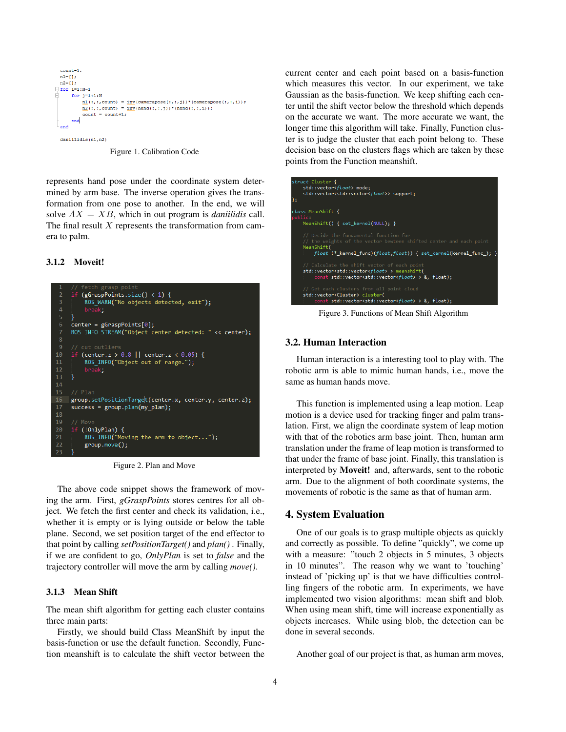```
count=1:
n1 = 11;
n2 = 11\Boxfor i=1:N-1
     for j=i+1:N\tilde{m}_1^1(:,:, count) = \text{inv}(camerapose(:,:,j))*(camerapose(:,:,i));
           \underline{m2} (:,:, count) = \underline{inv} (hand (:,:,j)) * (hand (:,:,i)) ;
            ...<br>count = count+1;
     end
\mathbf{a}daniilidis(n1,n2)
```
Figure 1. Calibration Code

represents hand pose under the coordinate system determined by arm base. The inverse operation gives the transformation from one pose to another. In the end, we will solve  $AX = XB$ , which in out program is *daniilidis* call. The final result  $X$  represents the transformation from camera to palm.

#### 3.1.2 Moveit!



Figure 2. Plan and Move

The above code snippet shows the framework of moving the arm. First, *gGraspPoints* stores centres for all object. We fetch the first center and check its validation, i.e., whether it is empty or is lying outside or below the table plane. Second, we set position target of the end effector to that point by calling *setPositionTarget()* and *plan()* . Finally, if we are confident to go, *OnlyPlan* is set to *false* and the trajectory controller will move the arm by calling *move()*.

#### 3.1.3 Mean Shift

The mean shift algorithm for getting each cluster contains three main parts:

Firstly, we should build Class MeanShift by input the basis-function or use the default function. Secondly, Function meanshift is to calculate the shift vector between the current center and each point based on a basis-function which measures this vector. In our experiment, we take Gaussian as the basis-function. We keep shifting each center until the shift vector below the threshold which depends on the accurate we want. The more accurate we want, the longer time this algorithm will take. Finally, Function cluster is to judge the cluster that each point belong to. These decision base on the clusters flags which are taken by these points from the Function meanshift.

| 5 | truct Cluster {<br>std::vector <float> mode;<br/>std::vector<std::vector<float>&gt; support;</std::vector<float></float>                                                                            |
|---|-----------------------------------------------------------------------------------------------------------------------------------------------------------------------------------------------------|
|   | Lass MeanShift {<br>ublic:<br>MeanShift() $\{ set \, kernel(NULL); \}$                                                                                                                              |
|   | // Decide the fundamental function for<br>// the weights of the vector bewteen shifted center and each point<br>MeanShift(<br>float (* kernel func)(float,float)) { set kernel(kernel func ); }     |
|   | // Calculate the shift vector of each point<br>std::vector <std::vector<float> &gt; meanshift(<br/>const std::vector<std::vector<float> &gt; &amp;, float);</std::vector<float></std::vector<float> |
|   | // Get each clusters from all point cloud<br>std::vector <cluster> cluster(<br/>const std::vector<std::vector<float> &gt; &amp;, float);</std::vector<float></cluster>                              |

Figure 3. Functions of Mean Shift Algorithm

### 3.2. Human Interaction

Human interaction is a interesting tool to play with. The robotic arm is able to mimic human hands, i.e., move the same as human hands move.

This function is implemented using a leap motion. Leap motion is a device used for tracking finger and palm translation. First, we align the coordinate system of leap motion with that of the robotics arm base joint. Then, human arm translation under the frame of leap motion is transformed to that under the frame of base joint. Finally, this translation is interpreted by Moveit! and, afterwards, sent to the robotic arm. Due to the alignment of both coordinate systems, the movements of robotic is the same as that of human arm.

## 4. System Evaluation

One of our goals is to grasp multiple objects as quickly and correctly as possible. To define "quickly", we come up with a measure: "touch 2 objects in 5 minutes, 3 objects in 10 minutes". The reason why we want to 'touching' instead of 'picking up' is that we have difficulties controlling fingers of the robotic arm. In experiments, we have implemented two vision algorithms: mean shift and blob. When using mean shift, time will increase exponentially as objects increases. While using blob, the detection can be done in several seconds.

Another goal of our project is that, as human arm moves,